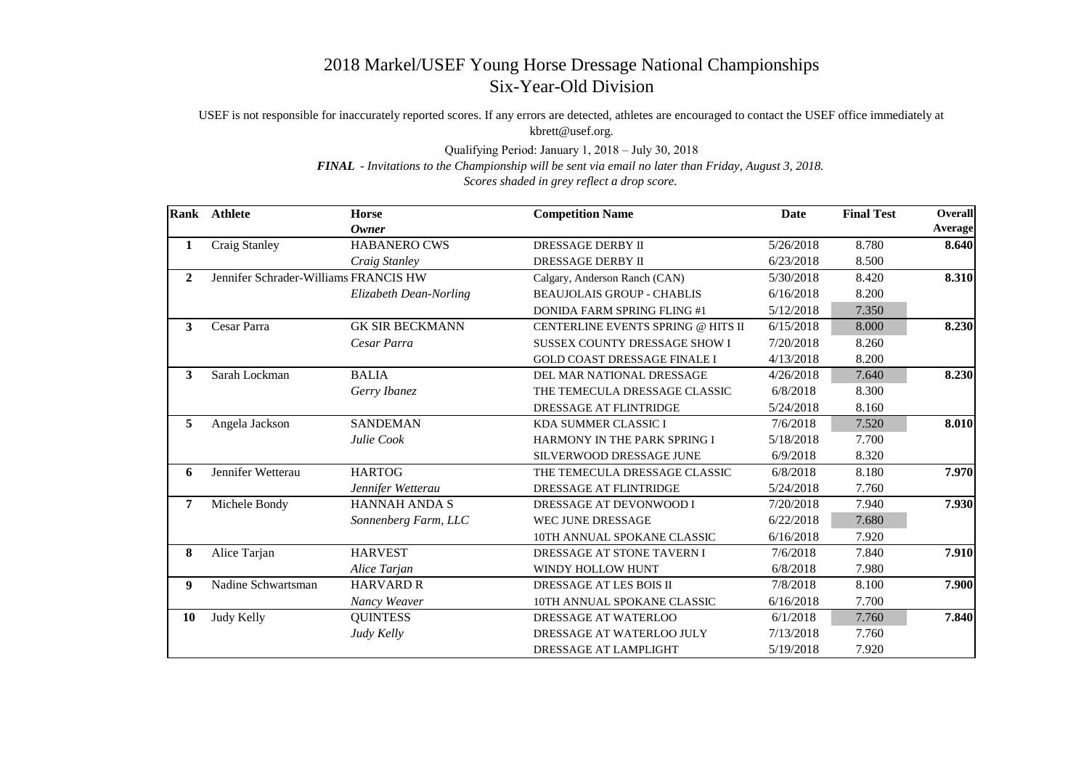## 2018 Markel/USEF Young Horse Dressage National Championships Six-Year-Old Division

USEF is not responsible for inaccurately reported scores. If any errors are detected, athletes are encouraged to contact the USEF office immediately at kbrett@usef.org.

Qualifying Period: January 1, 2018 – July 30, 2018

*FINAL* - *Invitations to the Championship will be sent via email no later than Friday, August 3, 2018.*

*Scores shaded in grey reflect a drop score.*

| <b>Rank</b>    | <b>Athlete</b>                        | <b>Horse</b>           | <b>Competition Name</b>              | Date      | <b>Final Test</b> | <b>Overall</b> |
|----------------|---------------------------------------|------------------------|--------------------------------------|-----------|-------------------|----------------|
|                |                                       | <b>Owner</b>           |                                      |           |                   | <b>Average</b> |
| 1              | Craig Stanley                         | <b>HABANERO CWS</b>    | DRESSAGE DERBY II                    | 5/26/2018 | 8.780             | 8.640          |
|                |                                       | Craig Stanley          | <b>DRESSAGE DERBY II</b>             | 6/23/2018 | 8.500             |                |
| $\overline{2}$ | Jennifer Schrader-Williams FRANCIS HW |                        | Calgary, Anderson Ranch (CAN)        | 5/30/2018 | 8.420             | 8.310          |
|                |                                       | Elizabeth Dean-Norling | <b>BEAUJOLAIS GROUP - CHABLIS</b>    | 6/16/2018 | 8.200             |                |
|                |                                       |                        | <b>DONIDA FARM SPRING FLING #1</b>   | 5/12/2018 | 7.350             |                |
| $\overline{3}$ | Cesar Parra                           | <b>GK SIR BECKMANN</b> | CENTERLINE EVENTS SPRING @ HITS II   | 6/15/2018 | 8.000             | 8.230          |
|                |                                       | Cesar Parra            | <b>SUSSEX COUNTY DRESSAGE SHOW I</b> | 7/20/2018 | 8.260             |                |
|                |                                       |                        | <b>GOLD COAST DRESSAGE FINALE I</b>  | 4/13/2018 | 8.200             |                |
| 3              | Sarah Lockman                         | <b>BALIA</b>           | DEL MAR NATIONAL DRESSAGE            | 4/26/2018 | 7.640             | 8.230          |
|                |                                       | Gerry Ibanez           | THE TEMECULA DRESSAGE CLASSIC        | 6/8/2018  | 8.300             |                |
|                |                                       |                        | DRESSAGE AT FLINTRIDGE               | 5/24/2018 | 8.160             |                |
| 5              | Angela Jackson                        | <b>SANDEMAN</b>        | KDA SUMMER CLASSIC I                 | 7/6/2018  | 7.520             | 8.010          |
|                |                                       | Julie Cook             | HARMONY IN THE PARK SPRING I         | 5/18/2018 | 7.700             |                |
|                |                                       |                        | SILVERWOOD DRESSAGE JUNE             | 6/9/2018  | 8.320             |                |
| 6              | Jennifer Wetterau                     | <b>HARTOG</b>          | THE TEMECULA DRESSAGE CLASSIC        | 6/8/2018  | 8.180             | 7.970          |
|                |                                       | Jennifer Wetterau      | DRESSAGE AT FLINTRIDGE               | 5/24/2018 | 7.760             |                |
| 7              | Michele Bondy                         | <b>HANNAH ANDA S</b>   | DRESSAGE AT DEVONWOOD I              | 7/20/2018 | 7.940             | 7.930          |
|                |                                       | Sonnenberg Farm, LLC   | WEC JUNE DRESSAGE                    | 6/22/2018 | 7.680             |                |
|                |                                       |                        | 10TH ANNUAL SPOKANE CLASSIC          | 6/16/2018 | 7.920             |                |
| 8              | Alice Tarjan                          | <b>HARVEST</b>         | DRESSAGE AT STONE TAVERN I           | 7/6/2018  | 7.840             | 7.910          |
|                |                                       | Alice Tarjan           | WINDY HOLLOW HUNT                    | 6/8/2018  | 7.980             |                |
| 9              | Nadine Schwartsman                    | <b>HARVARD R</b>       | DRESSAGE AT LES BOIS II              | 7/8/2018  | 8.100             | 7.900          |
|                |                                       | Nancy Weaver           | 10TH ANNUAL SPOKANE CLASSIC          | 6/16/2018 | 7.700             |                |
| 10             | Judy Kelly                            | <b>QUINTESS</b>        | DRESSAGE AT WATERLOO                 | 6/1/2018  | 7.760             | 7.840          |
|                |                                       | Judy Kelly             | DRESSAGE AT WATERLOO JULY            | 7/13/2018 | 7.760             |                |
|                |                                       |                        | DRESSAGE AT LAMPLIGHT                | 5/19/2018 | 7.920             |                |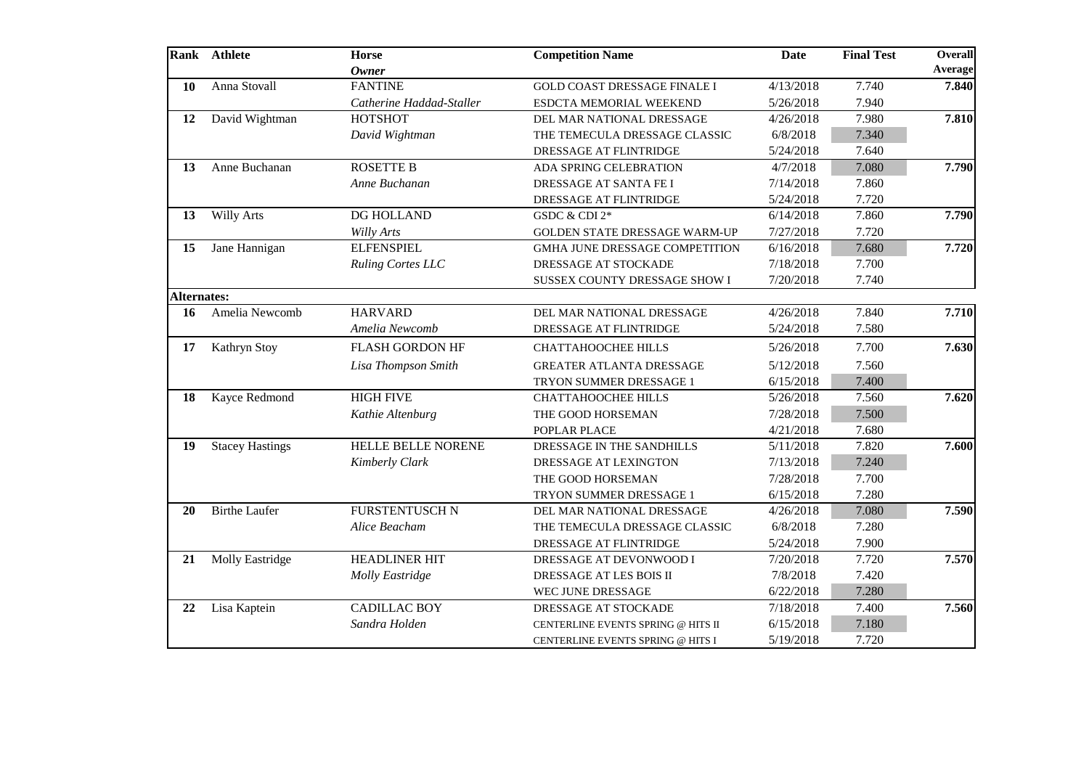|                    | Rank Athlete           | <b>Horse</b><br><b>Owner</b> | <b>Competition Name</b>             | <b>Date</b> | <b>Final Test</b> | <b>Overall</b><br>Average |
|--------------------|------------------------|------------------------------|-------------------------------------|-------------|-------------------|---------------------------|
| <b>10</b>          | Anna Stovall           | <b>FANTINE</b>               | <b>GOLD COAST DRESSAGE FINALE I</b> | 4/13/2018   | 7.740             | 7.840                     |
|                    |                        | Catherine Haddad-Staller     | ESDCTA MEMORIAL WEEKEND             | 5/26/2018   | 7.940             |                           |
| 12                 | David Wightman         | <b>HOTSHOT</b>               | DEL MAR NATIONAL DRESSAGE           | 4/26/2018   | 7.980             | 7.810                     |
|                    |                        | David Wightman               | THE TEMECULA DRESSAGE CLASSIC       | 6/8/2018    | 7.340             |                           |
|                    |                        |                              | DRESSAGE AT FLINTRIDGE              | 5/24/2018   | 7.640             |                           |
| 13                 | Anne Buchanan          | <b>ROSETTE B</b>             | ADA SPRING CELEBRATION              | 4/7/2018    | 7.080             | 7.790                     |
|                    |                        | Anne Buchanan                | DRESSAGE AT SANTA FE I              | 7/14/2018   | 7.860             |                           |
|                    |                        |                              | DRESSAGE AT FLINTRIDGE              | 5/24/2018   | 7.720             |                           |
| 13                 | <b>Willy Arts</b>      | DG HOLLAND                   | GSDC & CDI 2*                       | 6/14/2018   | 7.860             | 7.790                     |
|                    |                        | Willy Arts                   | GOLDEN STATE DRESSAGE WARM-UP       | 7/27/2018   | 7.720             |                           |
| 15                 | Jane Hannigan          | <b>ELFENSPIEL</b>            | GMHA JUNE DRESSAGE COMPETITION      | 6/16/2018   | 7.680             | 7.720                     |
|                    |                        | <b>Ruling Cortes LLC</b>     | DRESSAGE AT STOCKADE                | 7/18/2018   | 7.700             |                           |
|                    |                        |                              | SUSSEX COUNTY DRESSAGE SHOW I       | 7/20/2018   | 7.740             |                           |
| <b>Alternates:</b> |                        |                              |                                     |             |                   |                           |
| 16                 | Amelia Newcomb         | <b>HARVARD</b>               | DEL MAR NATIONAL DRESSAGE           | 4/26/2018   | 7.840             | 7.710                     |
|                    |                        | Amelia Newcomb               | DRESSAGE AT FLINTRIDGE              | 5/24/2018   | 7.580             |                           |
| 17                 | Kathryn Stoy           | <b>FLASH GORDON HF</b>       | <b>CHATTAHOOCHEE HILLS</b>          | 5/26/2018   | 7.700             | 7.630                     |
|                    |                        | Lisa Thompson Smith          | <b>GREATER ATLANTA DRESSAGE</b>     | 5/12/2018   | 7.560             |                           |
|                    |                        |                              | TRYON SUMMER DRESSAGE 1             | 6/15/2018   | 7.400             |                           |
| 18                 | Kayce Redmond          | <b>HIGH FIVE</b>             | <b>CHATTAHOOCHEE HILLS</b>          | 5/26/2018   | 7.560             | 7.620                     |
|                    |                        | Kathie Altenburg             | THE GOOD HORSEMAN                   | 7/28/2018   | 7.500             |                           |
|                    |                        |                              | POPLAR PLACE                        | 4/21/2018   | 7.680             |                           |
| 19                 | <b>Stacey Hastings</b> | <b>HELLE BELLE NORENE</b>    | DRESSAGE IN THE SANDHILLS           | 5/11/2018   | 7.820             | 7.600                     |
|                    |                        | <b>Kimberly Clark</b>        | DRESSAGE AT LEXINGTON               | 7/13/2018   | 7.240             |                           |
|                    |                        |                              | THE GOOD HORSEMAN                   | 7/28/2018   | 7.700             |                           |
|                    |                        |                              | TRYON SUMMER DRESSAGE 1             | 6/15/2018   | 7.280             |                           |
| 20                 | <b>Birthe Laufer</b>   | <b>FURSTENTUSCH N</b>        | DEL MAR NATIONAL DRESSAGE           | 4/26/2018   | 7.080             | 7.590                     |
|                    |                        | Alice Beacham                | THE TEMECULA DRESSAGE CLASSIC       | 6/8/2018    | 7.280             |                           |
|                    |                        |                              | DRESSAGE AT FLINTRIDGE              | 5/24/2018   | 7.900             |                           |
| 21                 | <b>Molly Eastridge</b> | <b>HEADLINER HIT</b>         | DRESSAGE AT DEVONWOOD I             | 7/20/2018   | 7.720             | 7.570                     |
|                    |                        | Molly Eastridge              | DRESSAGE AT LES BOIS II             | 7/8/2018    | 7.420             |                           |
|                    |                        |                              | WEC JUNE DRESSAGE                   | 6/22/2018   | 7.280             |                           |
| 22                 | Lisa Kaptein           | <b>CADILLAC BOY</b>          | DRESSAGE AT STOCKADE                | 7/18/2018   | 7.400             | 7.560                     |
|                    |                        | Sandra Holden                | CENTERLINE EVENTS SPRING @ HITS II  | 6/15/2018   | 7.180             |                           |
|                    |                        |                              | CENTERLINE EVENTS SPRING @ HITS I   | 5/19/2018   | 7.720             |                           |